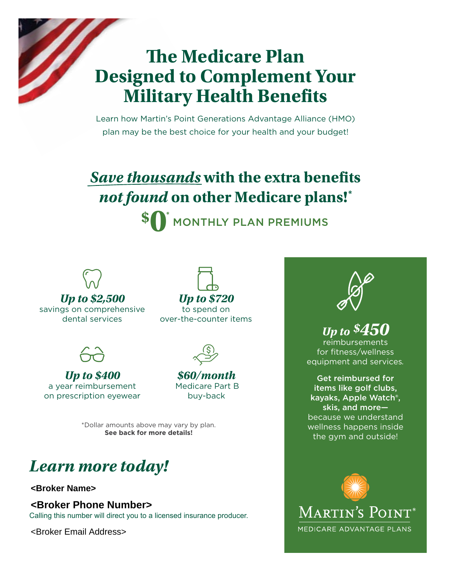## **The Medicare Plan Designed to Complement Your Military Health Benefits**

Learn how Martin's Point Generations Advantage Alliance (HMO) plan may be the best choice for your health and your budget!

#### *Save thousands* **with the extra benefits**  *not found* **on other Medicare plans!\* \$ 0\*** MONTHLY PLAN PREMIUMS



*Up to \$2,500* savings on comprehensive dental services

*Up to \$720* to spend on over-the-counter items



*Up to \$400* a year reimbursement on prescription eyewear



#### *\$60/month* Medicare Part B buy-back

\*Dollar amounts above may vary by plan. **See back for more details!** 

## *Learn more today!*

#### **<Broker Name>**

**<Broker Phone Number>**

Calling this number will direct you to a licensed insurance producer.

<Broker Email Address>



### *Up to \$450*

reimbursements for fitness/wellness equipment and services*.*

Get reimbursed for items like golf clubs, kayaks, Apple Watch®, skis, and more because we understand wellness happens inside the gym and outside!